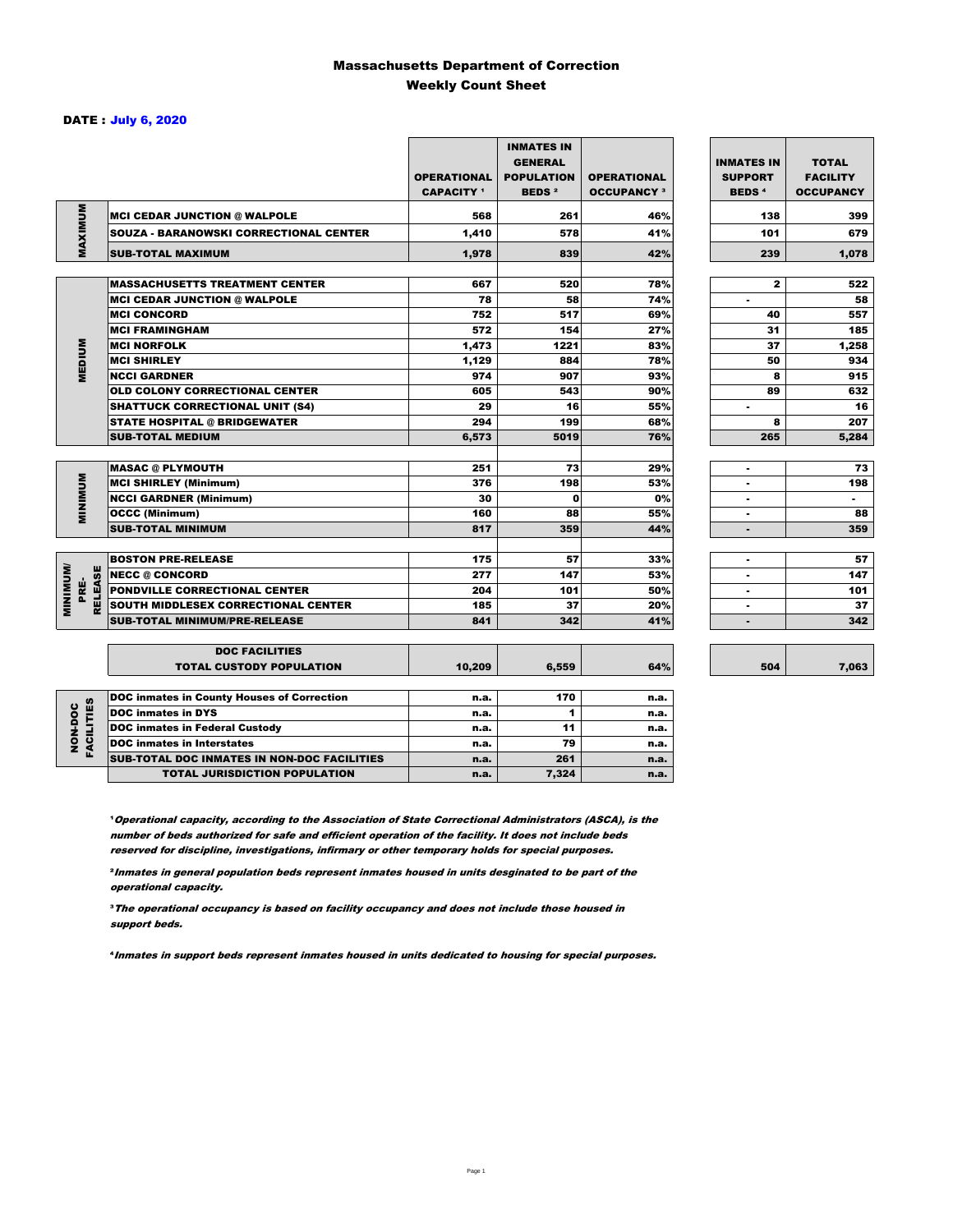### Massachusetts Department of Correction Weekly Count Sheet

### DATE : July 6, 2020

|                                   |                                                   | <b>OPERATIONAL</b><br><b>CAPACITY</b> <sup>1</sup> | <b>INMATES IN</b><br><b>GENERAL</b><br><b>POPULATION</b><br><b>BEDS<sup>2</sup></b> | <b>OPERATIONAL</b><br><b>OCCUPANCY 3</b> | <b>INMATES IN</b><br><b>SUPPORT</b><br><b>BEDS<sup>4</sup></b> | <b>TOTAL</b><br><b>FACILITY</b><br><b>OCCUPANCY</b> |
|-----------------------------------|---------------------------------------------------|----------------------------------------------------|-------------------------------------------------------------------------------------|------------------------------------------|----------------------------------------------------------------|-----------------------------------------------------|
| MAXIMUM                           | <b>MCI CEDAR JUNCTION @ WALPOLE</b>               | 568                                                | 261                                                                                 | 46%                                      | 138                                                            | 399                                                 |
|                                   | <b>SOUZA - BARANOWSKI CORRECTIONAL CENTER</b>     | 1,410                                              | 578                                                                                 | 41%                                      | 101                                                            | 679                                                 |
|                                   | <b>SUB-TOTAL MAXIMUM</b>                          | 1,978                                              | 839                                                                                 | 42%                                      | 239                                                            | 1,078                                               |
|                                   |                                                   |                                                    |                                                                                     |                                          |                                                                |                                                     |
|                                   | <b>MASSACHUSETTS TREATMENT CENTER</b>             | 667                                                | 520                                                                                 | 78%                                      | $\mathbf{2}$                                                   | 522                                                 |
|                                   | <b>MCI CEDAR JUNCTION @ WALPOLE</b>               | 78                                                 | 58                                                                                  | 74%                                      | ٠                                                              | 58                                                  |
|                                   | <b>MCI CONCORD</b>                                | 752                                                | 517                                                                                 | 69%                                      | 40                                                             | 557                                                 |
|                                   | <b>MCI FRAMINGHAM</b>                             | 572                                                | 154                                                                                 | 27%                                      | 31                                                             | 185                                                 |
|                                   | <b>MCI NORFOLK</b>                                | 1,473                                              | 1221                                                                                | 83%                                      | 37                                                             | 1,258                                               |
| <b>MEDIUM</b>                     | <b>MCI SHIRLEY</b>                                | 1,129                                              | 884                                                                                 | 78%                                      | 50                                                             | 934                                                 |
|                                   | <b>NCCI GARDNER</b>                               | 974                                                | 907                                                                                 | 93%                                      | 8                                                              | 915                                                 |
|                                   | OLD COLONY CORRECTIONAL CENTER                    | 605                                                | 543                                                                                 | 90%                                      | 89                                                             | 632                                                 |
|                                   | <b>SHATTUCK CORRECTIONAL UNIT (S4)</b>            | 29                                                 | 16                                                                                  | 55%                                      | ٠                                                              | 16                                                  |
|                                   | <b>STATE HOSPITAL @ BRIDGEWATER</b>               | 294                                                | 199                                                                                 | 68%                                      | 8                                                              | 207                                                 |
|                                   | <b>SUB-TOTAL MEDIUM</b>                           | 6,573                                              | 5019                                                                                | 76%                                      | 265                                                            | 5,284                                               |
|                                   | <b>MASAC @ PLYMOUTH</b>                           | 251                                                | 73                                                                                  | 29%                                      |                                                                | 73                                                  |
| <b>MINIMUM</b>                    | <b>MCI SHIRLEY (Minimum)</b>                      | 376                                                | 198                                                                                 | 53%                                      | ٠                                                              | 198                                                 |
|                                   | <b>NCCI GARDNER (Minimum)</b>                     | 30                                                 | $\Omega$                                                                            | 0%                                       | ٠                                                              | $\blacksquare$                                      |
|                                   | <b>OCCC (Minimum)</b>                             | 160                                                | 88                                                                                  | 55%                                      |                                                                | 88                                                  |
|                                   | <b>SUB-TOTAL MINIMUM</b>                          | 817                                                | 359                                                                                 | 44%                                      | $\blacksquare$                                                 | 359                                                 |
|                                   |                                                   |                                                    |                                                                                     |                                          |                                                                |                                                     |
|                                   | <b>BOSTON PRE-RELEASE</b>                         | 175                                                | 57                                                                                  | 33%                                      | ٠                                                              | 57                                                  |
| <b>MINIMUM/</b><br><b>RELEASE</b> | <b>NECC @ CONCORD</b>                             | 277                                                | 147                                                                                 | 53%                                      |                                                                | 147                                                 |
| PRE-                              | PONDVILLE CORRECTIONAL CENTER                     | 204                                                | 101                                                                                 | 50%                                      | ٠                                                              | 101                                                 |
|                                   | SOUTH MIDDLESEX CORRECTIONAL CENTER               | 185                                                | 37                                                                                  | 20%                                      | ٠                                                              | 37                                                  |
|                                   | <b>SUB-TOTAL MINIMUM/PRE-RELEASE</b>              | 841                                                | 342                                                                                 | 41%                                      | $\blacksquare$                                                 | 342                                                 |
|                                   | <b>DOC FACILITIES</b>                             |                                                    |                                                                                     |                                          |                                                                |                                                     |
|                                   | <b>TOTAL CUSTODY POPULATION</b>                   | 10,209                                             | 6,559                                                                               | 64%                                      | 504                                                            | 7,063                                               |
|                                   | <b>DOC inmates in County Houses of Correction</b> | n.a.                                               | 170                                                                                 | n.a.                                     |                                                                |                                                     |
| FACILITIES                        | <b>DOC</b> inmates in DYS                         | n.a.                                               | 1                                                                                   | n.a.                                     |                                                                |                                                     |
|                                   | <b>DOC inmates in Federal Custody</b>             | n.a.                                               | 11                                                                                  | n.a.                                     |                                                                |                                                     |
| NON-DOC                           | <b>DOC</b> inmates in Interstates                 | n.a.                                               | 79                                                                                  | n.a.                                     |                                                                |                                                     |
|                                   | CUR TOTAL BOO INIMETED IN NON-BOO FACULTIED       |                                                    | 0.04                                                                                |                                          |                                                                |                                                     |

**Operational capacity, according to the Association of State Correctional Administrators (ASCA), is the** number of beds authorized for safe and efficient operation of the facility. It does not include beds reserved for discipline, investigations, infirmary or other temporary holds for special purposes.

SUB-TOTAL DOC INMATES IN NON-DOC FACILITIES n.a. 261 n.a. TOTAL JURISDICTION POPULATION **n.a.** 7,324 n.a.

²Inmates in general population beds represent inmates housed in units desginated to be part of the operational capacity.

³The operational occupancy is based on facility occupancy and does not include those housed in support beds.

⁴Inmates in support beds represent inmates housed in units dedicated to housing for special purposes.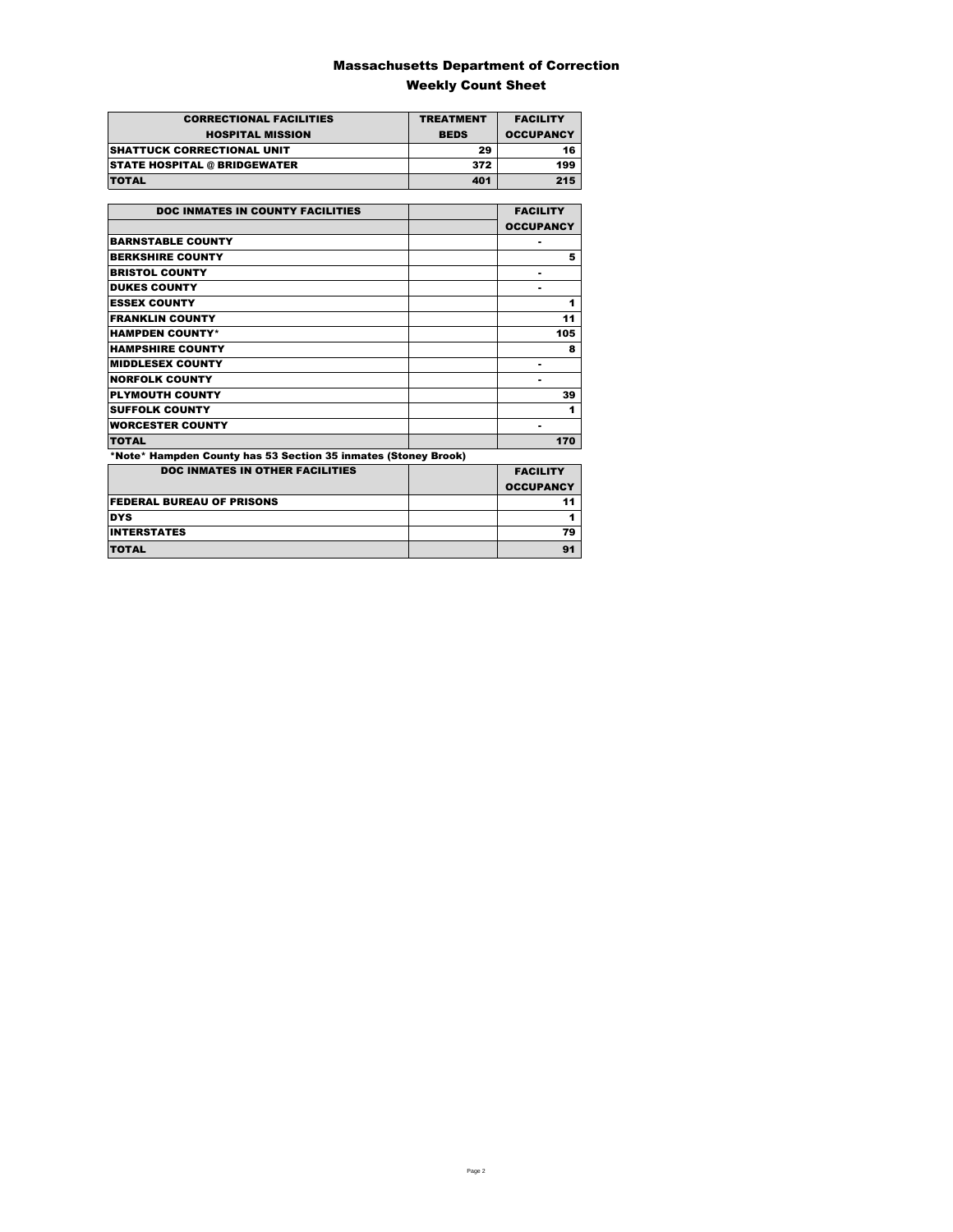### Massachusetts Department of Correction Weekly Count Sheet

| <b>CORRECTIONAL FACILITIES</b>      | <b>TREATMENT</b> | <b>FACILITY</b>  |
|-------------------------------------|------------------|------------------|
| <b>HOSPITAL MISSION</b>             | <b>BEDS</b>      | <b>OCCUPANCY</b> |
| <b>SHATTUCK CORRECTIONAL UNIT</b>   | 29               | 16               |
| <b>STATE HOSPITAL @ BRIDGEWATER</b> | 372              | 199              |
| <b>TOTAL</b>                        | 401              | 215              |

| <b>DOC INMATES IN COUNTY FACILITIES</b>                        | <b>FACILITY</b>  |
|----------------------------------------------------------------|------------------|
|                                                                | <b>OCCUPANCY</b> |
| <b>BARNSTABLE COUNTY</b>                                       | ۰                |
| <b>BERKSHIRE COUNTY</b>                                        | 5                |
| <b>BRISTOL COUNTY</b>                                          | ۰                |
| <b>DUKES COUNTY</b>                                            | ۰                |
| <b>ESSEX COUNTY</b>                                            | 1                |
| <b>FRANKLIN COUNTY</b>                                         | 11               |
| <b>HAMPDEN COUNTY*</b>                                         | 105              |
| <b>HAMPSHIRE COUNTY</b>                                        | 8                |
| <b>MIDDLESEX COUNTY</b>                                        | ۰                |
| <b>NORFOLK COUNTY</b>                                          | ۰                |
| <b>PLYMOUTH COUNTY</b>                                         | 39               |
| <b>SUFFOLK COUNTY</b>                                          | 1                |
| <b>WORCESTER COUNTY</b>                                        | ۰                |
| <b>TOTAL</b>                                                   | 170              |
| *Note* Hampden County has 53 Section 35 inmates (Stoney Brook) |                  |
| <b>DOC INMATES IN OTHER FACILITIES</b>                         | <b>FACILITY</b>  |
|                                                                | <b>OCCUPANCY</b> |
| <b>FEDERAL BUREAU OF PRISONS</b>                               | 11               |
| <b>DYS</b>                                                     | 1                |

Experiment and the contract of the contract of the contract of the contract of the contract of the contract of the contract of the contract of the contract of the contract of the contract of the contract of the contract of TOTAL 91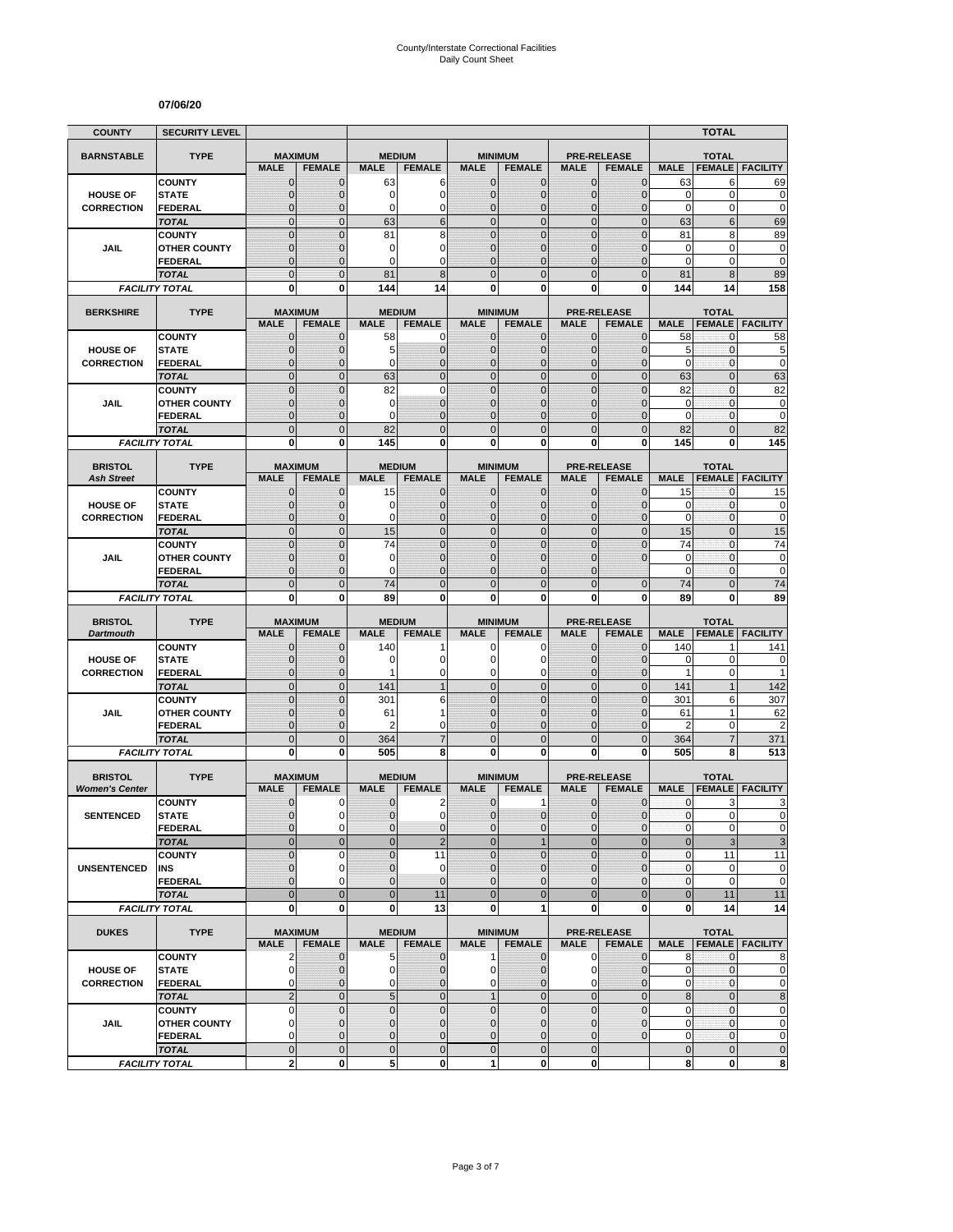#### **07/06/20**

| <b>COUNTY</b>                        | <b>SECURITY LEVEL</b>                 |                              |                              |                  |                               |                               |                               |                              |                                |                      | <b>TOTAL</b>      |                                                          |
|--------------------------------------|---------------------------------------|------------------------------|------------------------------|------------------|-------------------------------|-------------------------------|-------------------------------|------------------------------|--------------------------------|----------------------|-------------------|----------------------------------------------------------|
| <b>BARNSTABLE</b>                    | <b>TYPE</b>                           | <b>MAXIMUM</b>               |                              | <b>MEDIUM</b>    |                               |                               | <b>MINIMUM</b>                |                              | <b>PRE-RELEASE</b>             |                      | <b>TOTAL</b>      |                                                          |
|                                      |                                       | <b>MALE</b>                  | <b>FEMALE</b>                | <b>MALE</b>      | <b>FEMALE</b>                 | <b>MALE</b>                   | <b>FEMALE</b>                 | <b>MALE</b>                  | <b>FEMALE</b>                  | <b>MALE</b>          | <b>FEMALE</b>     | <b>FACILITY</b>                                          |
|                                      | <b>COUNTY</b>                         | $\mathbf 0$                  | $\mathbf{0}$                 | 63               | 6                             | $\mathbf 0$                   | 0                             | $\mathbf{0}$                 | $\mathbf{0}$                   | 63                   | 6                 | 69                                                       |
| <b>HOUSE OF</b>                      | <b>STATE</b>                          | $\mathbf{0}$                 | $\mathbf 0$                  | 0                | $\overline{0}$                | $\mathbf 0$                   | $\overline{0}$                | $\mathbf{0}$                 | $\overline{0}$                 | $\mathbf 0$          | $\mathbf 0$       | $\mathbf 0$                                              |
| <b>CORRECTION</b>                    | FEDERAL<br><b>TOTAL</b>               | $\mathbf 0$<br>$\mathbf 0$   | $\mathbf{0}$<br>$\mathbf{0}$ | 0<br>63          | 0<br>6                        | $\mathbf 0$<br>$\overline{0}$ | $\mathbf 0$<br>$\mathbf 0$    | $\mathbf 0$<br>$\mathbf{0}$  | $\overline{0}$<br>$\mathbf 0$  | $\mathbf 0$<br>63    | 0<br>6            | $\mathbf 0$<br>69                                        |
|                                      | <b>COUNTY</b>                         | $\mathbf 0$                  | $\mathbf{0}$                 | 81               | 8                             | $\mathbf 0$                   | $\mathbf 0$                   | $\mathbf 0$                  | $\mathbf 0$                    | 81                   | 8                 | 89                                                       |
| JAIL                                 | <b>OTHER COUNTY</b>                   | $\mathbf 0$                  | $\mathbf 0$                  | 0                | 0                             | $\mathbf{0}$                  | $\overline{0}$                | $\mathbf 0$                  | $\overline{0}$                 | $\mathbf 0$          | $\mathbf 0$       | $\bf{0}$                                                 |
|                                      | <b>FEDERAL</b>                        | $\overline{0}$               | $\mathbf{0}$                 | 0                | $\Omega$                      | $\Omega$                      | $\overline{0}$                | $\Omega$                     | $\overline{0}$                 | $\Omega$             | 0                 | $\mathbf 0$                                              |
|                                      | <b>TOTAL</b>                          | $\overline{0}$               | $\Omega$                     | 81               | 8                             | $\Omega$                      | $\overline{0}$                | $\Omega$                     | $\overline{0}$                 | 81                   | 8                 | 89                                                       |
|                                      | <b>FACILITY TOTAL</b>                 | 0                            | 0                            | 144              | 14                            | $\mathbf{0}$                  | 0                             | 0                            | 0                              | 144                  | 14                | 158                                                      |
| <b>BERKSHIRE</b>                     | <b>TYPE</b>                           | <b>MAXIMUM</b>               |                              |                  | <b>MEDIUM</b>                 |                               | <b>MINIMUM</b>                |                              | <b>PRE-RELEASE</b>             |                      | <b>TOTAL</b>      |                                                          |
|                                      |                                       | <b>MALE</b>                  | <b>FEMALE</b>                | <b>MALE</b>      | <b>FEMALE</b>                 | <b>MALE</b>                   | <b>FEMALE</b>                 | <b>MALE</b>                  | <b>FEMALE</b>                  | <b>MALE</b>          | <b>FEMALE</b>     | <b>FACILITY</b>                                          |
|                                      | <b>COUNTY</b>                         | $\mathbf{0}$                 | $\mathbf 0$                  | 58               | 0                             | $\mathbf{0}$                  | $\mathbf{0}$                  | $\mathbf{0}$                 | $\mathbf 0$                    | 58                   | 0                 | 58                                                       |
| <b>HOUSE OF</b><br><b>CORRECTION</b> | <b>STATE</b><br><b>FEDERAL</b>        | 0<br>$\mathbf 0$             | $\mathbf{0}$<br>$\mathbf 0$  | 5<br>0           | $\mathbf 0$<br>$\overline{0}$ | $\mathbf{0}$<br>$\mathbf{0}$  | $\mathbf 0$<br>$\overline{0}$ | $\mathbf{0}$<br>$\mathbf{0}$ | $\mathbf{0}$<br>$\mathbf 0$    | 5<br>$\mathbf 0$     | 0<br>0            | 5<br>$\mathbf 0$                                         |
|                                      | <b>TOTAL</b>                          | $\overline{0}$               | $\mathbf{0}$                 | 63               | $\overline{0}$                | $\overline{0}$                | $\overline{0}$                | $\mathbf{0}$                 | $\overline{0}$                 | 63                   | $\overline{0}$    | 63                                                       |
|                                      | <b>COUNTY</b>                         | $\overline{0}$               | $\overline{0}$               | 82               | $\overline{0}$                | $\mathbf 0$                   | $\overline{0}$                | $\overline{0}$               | $\overline{0}$                 | 82                   | $\mathbf{0}$      | 82                                                       |
| <b>JAIL</b>                          | <b>OTHER COUNTY</b>                   | 0                            | $\mathbf{0}$                 | 0                | $\overline{0}$                | $\Omega$                      | $\mathbf 0$                   | $\Omega$                     | $\mathbf{0}$                   | 0                    | $\mathbf{0}$      | $\bf{0}$                                                 |
|                                      | <b>FEDERAL</b>                        | $\mathbf 0$                  | $\mathbf{0}$                 | 0                | $\overline{0}$                | $\mathbf{0}$                  | $\overline{0}$                | $\mathbf 0$                  | $\overline{0}$                 | $\mathbf 0$          | $\mathbf{0}$      | $\mathbf 0$                                              |
|                                      | <b>TOTAL</b>                          | $\mathbf 0$                  | $\mathbf{0}$                 | 82               | $\overline{0}$                | $\mathbf{0}$                  | $\mathbf 0$                   | $\mathbf{0}$                 | $\mathbf 0$                    | 82                   | $\overline{0}$    | 82                                                       |
|                                      | <b>FACILITY TOTAL</b>                 | 0                            | $\mathbf{0}$                 | 145              | 0                             | 0                             | $\bf{0}$                      | 0                            | 0                              | 145                  | 0                 | 145                                                      |
| <b>BRISTOL</b>                       | <b>TYPE</b>                           | <b>MAXIMUM</b>               |                              |                  | <b>MEDIUM</b>                 |                               | <b>MINIMUM</b>                |                              | <b>PRE-RELEASE</b>             |                      | <b>TOTAL</b>      |                                                          |
| <b>Ash Street</b>                    |                                       | <b>MALE</b>                  | <b>FEMALE</b>                | <b>MALE</b>      | <b>FEMALE</b>                 | <b>MALE</b>                   | <b>FEMALE</b>                 | <b>MALE</b>                  | <b>FEMALE</b>                  | <b>MALE</b>          | <b>FEMALE</b>     | <b>FACILITY</b>                                          |
|                                      | <b>COUNTY</b>                         | 0                            | $\mathbf{0}$                 | 15               | $\mathbf 0$                   | $\mathbf 0$                   | 0                             | $\mathbf{0}$                 | $\mathbf{0}$                   | 15                   | 0                 | 15                                                       |
| <b>HOUSE OF</b><br><b>CORRECTION</b> | <b>STATE</b><br><b>FEDERAL</b>        | $\mathbf{0}$<br>$\mathbf{0}$ | $\mathbf{0}$<br>$\mathbf{0}$ | 0<br>0           | $\mathbf 0$<br>$\overline{0}$ | $\mathbf{0}$<br>$\mathbf{0}$  | $\mathbf{0}$<br>$\mathbf{0}$  | $\mathbf{0}$<br>$\mathbf{0}$ | $\mathbf{0}$<br>$\overline{0}$ | 0<br>$\mathbf 0$     | 0<br>0            | $\pmb{0}$<br>$\mathbf 0$                                 |
|                                      | <b>TOTAL</b>                          | $\overline{0}$               | $\mathbf{0}$                 | 15               | $\overline{0}$                | $\mathbf 0$                   | $\overline{0}$                | $\mathbf{0}$                 | $\overline{0}$                 | 15                   | $\overline{0}$    | 15                                                       |
|                                      | <b>COUNTY</b>                         | $\overline{0}$               | $\Omega$                     | 74               | $\overline{0}$                | $\mathbf 0$                   | $\overline{0}$                | $\overline{0}$               | $\overline{0}$                 | 74                   | $\overline{0}$    | 74                                                       |
| JAIL                                 | <b>OTHER COUNTY</b>                   | $\mathbf 0$                  | $\mathbf 0$                  | 0                | $\overline{0}$                | $\mathbf{0}$                  | $\overline{0}$                | $\mathbf 0$                  | $\overline{0}$                 | $\mathbf 0$          | $\mathbf{0}$      | $\mathbf 0$                                              |
|                                      | FEDERAL                               | $\overline{0}$               | $\mathbf{0}$                 | 0                | $\overline{0}$                | $\Omega$                      | $\overline{0}$                | $\Omega$                     |                                | $\mathbf 0$          | 0                 | $\mathbf 0$                                              |
|                                      | <b>TOTAL</b>                          | $\overline{0}$               | $\mathbf{0}$                 | 74               | $\overline{0}$                | $\overline{0}$                | $\overline{0}$                | $\overline{0}$               | $\mathbf{0}$                   | 74                   | $\overline{0}$    | 74                                                       |
|                                      | <b>FACILITY TOTAL</b>                 |                              |                              |                  |                               |                               |                               |                              |                                |                      |                   |                                                          |
|                                      |                                       | 0                            | 0                            | 89               | 0                             | 0                             | 0                             | 0                            | 0                              | 89                   | 0                 | 89                                                       |
| <b>BRISTOL</b>                       | <b>TYPE</b>                           | <b>MAXIMUM</b>               |                              |                  | <b>MEDIUM</b>                 |                               | <b>MINIMUM</b>                |                              | <b>PRE-RELEASE</b>             |                      | <b>TOTAL</b>      |                                                          |
| <b>Dartmouth</b>                     |                                       | <b>MALE</b>                  | <b>FEMALE</b>                | <b>MALE</b>      | <b>FEMALE</b>                 | <b>MALE</b>                   | <b>FEMALE</b>                 | <b>MALE</b>                  | <b>FEMALE</b>                  | <b>MALE</b>          | <b>FEMALE</b>     | <b>FACILITY</b>                                          |
|                                      | <b>COUNTY</b>                         | $\mathbf 0$                  | $\mathbf 0$                  | 140              |                               | 0                             | 0                             | $\mathbf 0$                  | 0                              | 140                  | 1                 | 141                                                      |
| <b>HOUSE OF</b>                      | <b>STATE</b>                          | $\mathbf 0$                  | $\mathbf{0}$                 | 0<br>1           | 0                             | $\Omega$                      | 0                             | $\Omega$                     | $\mathbf{0}$                   | 0                    | $\mathbf 0$       | 0                                                        |
| <b>CORRECTION</b>                    | <b>FEDERAL</b><br><b>TOTAL</b>        | 0<br>$\overline{0}$          | $\mathbf{0}$<br>$\mathbf{0}$ | 141              | 0<br>$\mathbf{1}$             | $\mathbf 0$<br>$\overline{0}$ | 0<br>$\mathbf 0$              | $\mathbf 0$<br>$\mathbf{0}$  | $\mathbf{0}$<br>$\overline{0}$ | $\mathbf{1}$<br>141  | 0<br>$\mathbf{1}$ | 1<br>142                                                 |
|                                      | <b>COUNTY</b>                         | $\mathbf 0$                  | $\mathbf{0}$                 | 301              | 6                             | $\mathbf{0}$                  | $\mathbf 0$                   | $\mathbf{0}$                 | $\mathbf 0$                    | 301                  | 6                 | 307                                                      |
| JAIL                                 | <b>OTHER COUNTY</b>                   | $\overline{0}$               | $\mathbf{0}$                 | 61               | 1                             | $\mathbf{0}$                  | $\overline{0}$                | $\Omega$                     | $\overline{0}$                 | 61                   | 1                 | 62                                                       |
|                                      | FEDERAL                               | $\mathbf 0$                  | $\mathbf{0}$                 | 2                | 0                             | $\mathbf{0}$                  | 0                             | $\mathbf{0}$                 | $\mathbf 0$                    | $\overline{2}$       | 0                 | $\overline{c}$                                           |
|                                      | <b>TOTAL</b>                          | $\mathbf 0$                  | $\overline{0}$               | 364              | $\overline{7}$                | $\mathbf 0$                   | $\mathbf 0$                   | $\overline{0}$               | $\mathbf 0$                    | 364                  | 7                 | 371                                                      |
|                                      | <b>FACILITY TOTAL</b>                 | $\mathbf{0}$                 | $\mathbf{0}$                 | 505              | 8                             | $\mathbf{0}$                  | $\bf{0}$                      | 0                            | 0                              | 505                  | 8                 | 513                                                      |
| <b>BRISTOL</b>                       | <b>TYPE</b>                           | <b>MAXIMUM</b>               |                              |                  | <b>MEDIUM</b>                 |                               | <b>MINIMUM</b>                |                              | <b>PRE-RELEASE</b>             |                      | <b>TOTAL</b>      |                                                          |
| <b>Women's Center</b>                |                                       | <b>MALE</b>                  | <b>FEMALE</b>                | <b>MALE</b>      | <b>FEMALE</b>                 | <b>MALE</b>                   | <b>FEMALE</b>                 | <b>MALE</b>                  | <b>FEMALE</b>                  | <b>MALE</b>          | <b>FEMALE</b>     | <b>FACILITY</b>                                          |
|                                      | <b>COUNTY</b>                         | 0                            | 0                            | 0                | $\overline{c}$                | $\mathbf 0$                   | 1                             | 0                            | $\mathbf 0$                    | 0                    | 3                 | 3                                                        |
| <b>SENTENCED</b>                     | <b>STATE</b>                          | $\overline{0}$               | $\Omega$                     | $\overline{0}$   | $\mathbf 0$                   | $\overline{0}$                | $\mathbf 0$                   | $\mathbf{0}$                 | $\mathbf{0}$                   | $\mathbf{0}$         | $\overline{0}$    |                                                          |
|                                      | <b>FEDERAL</b>                        | 0<br>$\mathbf 0$             | $\mathbf 0$<br>$\mathbf{0}$  | 0<br>$\mathbf 0$ | $\mathbf 0$                   | $\mathbf{0}$<br>$\mathbf{0}$  | $\mathbf 0$<br>$\mathbf{1}$   | $\mathbf 0$<br>$\mathbf{0}$  | $\mathbf 0$<br>$\mathbf 0$     | $\pmb{0}$<br>$\bf 0$ | 0                 |                                                          |
|                                      | <b>TOTAL</b><br><b>COUNTY</b>         | $\mathbf 0$                  | $\mathbf 0$                  | $\overline{0}$   | $\overline{2}$<br>11          | $\Omega$                      | $\mathbf 0$                   | $\mathbf 0$                  | $\mathbf 0$                    | $\pmb{0}$            | 3<br>11           | $\Omega$<br>$\pmb{0}$<br>$\ensuremath{\mathsf{3}}$<br>11 |
| <b>UNSENTENCED</b>                   | INS                                   | 0                            | $\mathbf 0$                  | $\pmb{0}$        | 0                             | $\mathbf 0$                   | 0                             | $\mathbf{0}$                 | $\mathbf 0$                    | $\pmb{0}$            | 0                 | $\pmb{0}$                                                |
|                                      | <b>FEDERAL</b>                        | $\overline{0}$               | $\Omega$                     | 0                | $\mathbf 0$                   | $\mathbf{0}$                  | $\overline{0}$                | $\mathbf{0}$                 | $\mathbf 0$                    | $\pmb{0}$            | 0                 | $\mathbf 0$                                              |
|                                      | <b>TOTAL</b>                          | $\overline{0}$               | $\mathbf{0}$                 | $\mathbf 0$      | 11                            | $\overline{0}$                | $\overline{0}$                | $\overline{0}$               | $\mathbf 0$                    | $\mathbf 0$          | 11                | 11                                                       |
|                                      | <b>FACILITY TOTAL</b>                 | 0                            | $\mathbf{0}$                 | 0                | 13                            | $\mathbf{0}$                  | 1                             | $\mathbf 0$                  | 0                              | 0                    | 14                | 14                                                       |
| <b>DUKES</b>                         | <b>TYPE</b>                           | <b>MAXIMUM</b>               |                              |                  | <b>MEDIUM</b>                 |                               | <b>MINIMUM</b>                |                              | <b>PRE-RELEASE</b>             |                      | <b>TOTAL</b>      |                                                          |
|                                      |                                       | <b>MALE</b>                  | <b>FEMALE</b>                | <b>MALE</b>      | <b>FEMALE</b>                 | <b>MALE</b>                   | <b>FEMALE</b>                 | <b>MALE</b>                  | <b>FEMALE</b>                  | <b>MALE</b>          |                   | <b>FEMALE FACILITY</b>                                   |
|                                      | <b>COUNTY</b>                         | 2                            | $\mathbf{0}$                 | 5                | $\mathbf 0$                   | $\mathbf{1}$                  | $\mathbf 0$                   | $\mathbf 0$                  | $\mathbf 0$                    | 8                    | $\mathbf{0}$      | 8                                                        |
| <b>HOUSE OF</b>                      | <b>STATE</b>                          | $\mathbf 0$                  | 0                            | 0                | $\mathbf 0$                   | $\mathbf{0}$                  | 0                             | 0                            | $\mathbf 0$                    | 0                    | 0                 |                                                          |
| <b>CORRECTION</b>                    | <b>FEDERAL</b><br><b>TOTAL</b>        | 0<br>$\overline{2}$          | $\mathbf{0}$<br>$\mathbf 0$  | 0<br>$\sqrt{5}$  | $\mathbf 0$<br>$\mathbf 0$    | $\mathbf 0$<br>1              | $\mathbf 0$<br>$\mathbf 0$    | $\mathbf 0$<br>$\mathbf 0$   | $\overline{0}$<br>$\mathbf 0$  | 0<br>8               | 0<br>$\mathbf 0$  |                                                          |
|                                      | <b>COUNTY</b>                         | 0                            | $\mathbf{0}$                 | $\pmb{0}$        | $\mathbf 0$                   | $\mathbf 0$                   | $\mathbf 0$                   | $\mathbf 0$                  | $\mathbf 0$                    | 0                    | $\pmb{0}$         | 8                                                        |
| JAIL                                 | <b>OTHER COUNTY</b>                   | $\overline{0}$               | $\mathbf{0}$                 | $\mathbf 0$      | $\overline{0}$                | $\mathbf{0}$                  | $\mathbf{0}$                  | $\mathbf{0}$                 | $\mathbf{0}$                   | $\mathbf 0$          | 0                 |                                                          |
|                                      | <b>FEDERAL</b>                        | 0                            | $\mathbf 0$                  | 0                | 0                             | $\mathbf 0$                   | 0                             | $\mathbf 0$                  | $\mathbf 0$                    | 0                    | $\pmb{0}$         | $\mathbf 0$<br>$\pmb{0}$<br>$\pmb{0}$                    |
|                                      | <b>TOTAL</b><br><b>FACILITY TOTAL</b> | $\mathbf 0$<br>2             | $\mathbf 0$<br>$\mathbf 0$   | $\pmb{0}$<br>5   | $\mathbf 0$<br>0              | $\mathbf 0$<br>$\mathbf{1}$   | $\mathbf 0$<br>0              | $\mathbf 0$<br>$\mathbf 0$   |                                | $\pmb{0}$<br>8       | $\mathbf 0$<br>0  | $\pmb{0}$<br>$\pmb{0}$<br>$\pmb{0}$<br>8                 |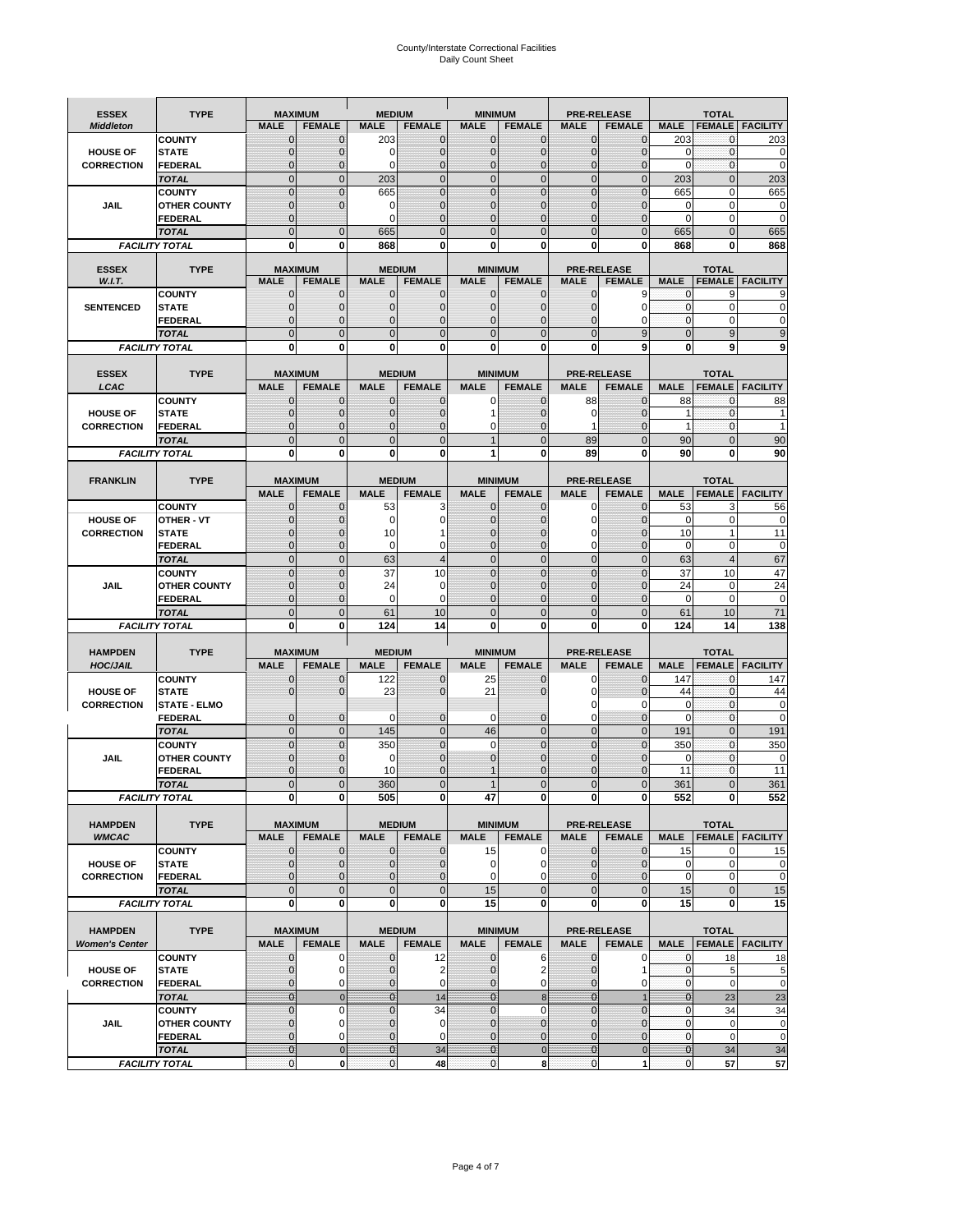# County/Interstate Correctional Facilities Daily Count Sheet

| <b>ESSEX</b>                         | <b>TYPE</b>                           |                               | <b>MAXIMUM</b>                | <b>MEDIUM</b>                  |                               | <b>MINIMUM</b>               |                              |                               | <b>PRE-RELEASE</b>            |                             | <b>TOTAL</b>                 |                               |
|--------------------------------------|---------------------------------------|-------------------------------|-------------------------------|--------------------------------|-------------------------------|------------------------------|------------------------------|-------------------------------|-------------------------------|-----------------------------|------------------------------|-------------------------------|
| <b>Middleton</b>                     |                                       | <b>MALE</b>                   | <b>FEMALE</b>                 | <b>MALE</b>                    | <b>FEMALE</b>                 | <b>MALE</b>                  | <b>FEMALE</b>                | <b>MALE</b>                   | <b>FEMALE</b>                 | <b>MALE</b>                 |                              | <b>FEMALE FACILITY</b>        |
|                                      | <b>COUNTY</b>                         | 0                             | $\mathbf 0$                   | 203                            | 0                             | $\mathbf{0}$                 | $\mathbf{0}$                 | $\mathbf{0}$                  | $\Omega$                      | 203                         | 0                            | 203                           |
| <b>HOUSE OF</b>                      | <b>STATE</b>                          | 0                             | $\mathbf 0$                   | $\Omega$                       | 0                             | $\mathbf 0$                  | $\mathbf{0}$                 | $\mathbf{0}$                  | $\Omega$                      | $\Omega$                    | $\mathbf{0}$                 | 0                             |
| <b>CORRECTION</b>                    | <b>FEDERAL</b>                        | $\Omega$<br>$\mathbf 0$       | $\mathbf 0$<br>$\overline{0}$ | $\Omega$                       | $\overline{0}$<br>$\mathbf 0$ | $\mathbf{0}$<br>$\mathbf{0}$ | $\mathbf{0}$<br>$\mathbf{0}$ | $\mathbf{0}$<br>$\mathbf 0$   | $\Omega$<br>$\overline{0}$    | $\Omega$                    | $\mathbf{0}$<br>$\mathbf{0}$ | $\mathbf 0$<br>203            |
|                                      | <b>TOTAL</b><br><b>COUNTY</b>         | $\mathbf 0$                   | $\mathbf{0}$                  | 203<br>665                     | 0                             | $\mathbf{0}$                 | $\mathbf 0$                  | $\mathbf{0}$                  | $\mathbf 0$                   | 203<br>665                  | 0                            | 665                           |
| JAIL                                 | <b>OTHER COUNTY</b>                   | $\mathbf{0}$                  | $\mathbf 0$                   | 0                              | 0                             | $\mathbf{0}$                 | $\Omega$                     | $\mathbf{0}$                  | ſ                             | $\Omega$                    | $\Omega$                     | 0                             |
|                                      | <b>FEDERAL</b>                        | $\mathbf{0}$                  |                               | $\Omega$                       | $\Omega$                      | $\mathbf 0$                  | $\mathbf 0$                  | $\mathbf{0}$                  | $\mathbf 0$                   | $\mathbf 0$                 | 0                            | $\mathbf 0$                   |
|                                      | <b>TOTAL</b>                          | $\Omega$                      | $\mathbf 0$                   | 665                            | $\Omega$                      | $\mathbf{0}$                 | $\Omega$                     | $\overline{0}$                | $\Omega$                      | 665                         | $\Omega$                     | 665                           |
|                                      | <b>FACILITY TOTAL</b>                 | 0                             | 0                             | 868                            | O                             | $\bf{0}$                     | 0                            | 0                             | 0                             | 868                         | 0                            | 868                           |
| <b>ESSEX</b>                         | <b>TYPE</b>                           |                               | <b>MAXIMUM</b>                |                                | <b>MEDIUM</b>                 |                              | <b>MINIMUM</b>               |                               | <b>PRE-RELEASE</b>            |                             | <b>TOTAL</b>                 |                               |
| W.I.T.                               |                                       | <b>MALE</b>                   | <b>FEMALE</b>                 | <b>MALE</b>                    | <b>FEMALE</b>                 | <b>MALE</b>                  | <b>FEMALE</b>                | <b>MALE</b>                   | <b>FEMALE</b>                 | <b>MALE</b>                 | <b>FEMALE</b>                | <b>FACILITY</b>               |
|                                      | <b>COUNTY</b>                         | $\mathbf{0}$                  | 0                             | $\mathbf 0$                    | $\mathbf{0}$                  | $\mathbf{0}$                 | $\mathbf{0}$                 | $\mathbf{0}$                  | 9                             | 0                           | 9                            | 9                             |
| <b>SENTENCED</b>                     | <b>STATE</b>                          | 0                             | $\overline{0}$                | $\mathbf{0}$                   | 0                             | $\mathbf{0}$                 | $\mathbf{0}$                 | $\mathbf 0$                   | 0                             | $\mathbf{0}$                | $\mathbf 0$                  | 0                             |
|                                      | <b>FEDERAL</b><br><b>TOTAL</b>        | $\mathbf 0$<br>$\overline{0}$ | $\mathbf 0$<br>$\overline{0}$ | $\Omega$<br>$\mathbf{0}$       | 0<br>$\overline{0}$           | $\mathbf{0}$<br>$\mathbf{0}$ | $\Omega$<br>$\overline{0}$   | $\mathbf 0$<br>$\overline{0}$ | 0<br>9                        | $\Omega$<br>$\mathbf{0}$    | $\mathbf 0$<br>9             | $\Omega$<br>9                 |
|                                      | <b>FACILITY TOTAL</b>                 | $\mathbf{0}$                  | 0                             | $\bf{0}$                       | O                             | $\bf{0}$                     | 0                            | 0                             | 9                             | $\bf{0}$                    | 9                            | 9                             |
|                                      |                                       |                               |                               |                                |                               |                              |                              |                               |                               |                             |                              |                               |
| <b>ESSEX</b>                         | <b>TYPE</b>                           |                               | <b>MAXIMUM</b>                |                                | <b>MEDIUM</b>                 |                              | <b>MINIMUM</b>               |                               | <b>PRE-RELEASE</b>            |                             | <b>TOTAL</b>                 |                               |
| LCAC                                 |                                       | <b>MALE</b>                   | <b>FEMALE</b>                 | <b>MALE</b>                    | <b>FEMALE</b>                 | <b>MALE</b>                  | <b>FEMALE</b>                | <b>MALE</b>                   | <b>FEMALE</b>                 | <b>MALE</b>                 | <b>FEMALE</b>                | <b>FACILITY</b>               |
|                                      | <b>COUNTY</b>                         | 0                             | $\mathbf 0$                   | $\mathbf{0}$                   | 0                             | 0                            | $\mathbf{0}$                 | 88                            | $\Omega$                      | 88                          | $\mathbf 0$                  | 88                            |
| <b>HOUSE OF</b>                      | <b>STATE</b>                          | $\Omega$<br>0                 | $\mathbf 0$<br>$\overline{0}$ | $\Omega$<br>$\mathbf{0}$       | 0<br>0                        | 1<br>0                       | $\Omega$<br>$\overline{0}$   | $\mathbf 0$<br>1              | $\sqrt{ }$<br>$\mathcal{C}$   | 1<br>$\mathbf{1}$           | $\Omega$<br>$\mathbf{0}$     | 1                             |
| <b>CORRECTION</b>                    | <b>FEDERAL</b><br><b>TOTAL</b>        | $\overline{0}$                | $\overline{0}$                | $\overline{0}$                 | $\overline{0}$                | $\overline{1}$               | $\overline{0}$               | 89                            | $\overline{0}$                | 90                          | $\Omega$                     | 90                            |
|                                      | <b>FACILITY TOTAL</b>                 | 0                             | 0                             | 0                              | 0                             | 1                            | 0                            | 89                            | 0                             | 90                          | 0                            | 90                            |
|                                      |                                       |                               |                               |                                |                               |                              |                              |                               |                               |                             |                              |                               |
| <b>FRANKLIN</b>                      | <b>TYPE</b>                           |                               | <b>MAXIMUM</b>                |                                | <b>MEDIUM</b>                 |                              | <b>MINIMUM</b>               |                               | <b>PRE-RELEASE</b>            |                             | <b>TOTAL</b>                 |                               |
|                                      |                                       | <b>MALE</b>                   | <b>FEMALE</b>                 | <b>MALE</b>                    | <b>FEMALE</b>                 | <b>MALE</b>                  | <b>FEMALE</b>                | <b>MALE</b>                   | <b>FEMALE</b>                 | <b>MALE</b>                 | <b>FEMALE</b>                | <b>FACILITY</b>               |
|                                      | <b>COUNTY</b>                         | 0                             | 0                             | 53                             | 3                             | $\mathbf{0}$                 | 0                            | 0                             | $\Omega$                      | 53                          | 3                            | 56                            |
| <b>HOUSE OF</b><br><b>CORRECTION</b> | <b>OTHER - VT</b><br><b>STATE</b>     | 0<br>0                        | $\overline{0}$<br>$\mathbf 0$ | 0<br>10                        | 0<br>1                        | $\mathbf 0$<br>$\mathbf{0}$  | $\Omega$<br>$\Omega$         | $\mathbf 0$<br>0              | $\sqrt{ }$<br>$\sqrt{ }$      | $\mathbf 0$<br>10           | $\mathbf 0$<br>$\mathbf{1}$  | 0<br>11                       |
|                                      | <b>FEDERAL</b>                        | $\mathbf{0}$                  | $\overline{0}$                | $\mathbf 0$                    | 0                             | $\mathbf{0}$                 | $\mathbf{0}$                 | 0                             | $\overline{0}$                | $\mathbf 0$                 | $\mathbf 0$                  | $\mathbf 0$                   |
|                                      | <b>TOTAL</b>                          | $\mathbf 0$                   | $\mathbf{0}$                  | 63                             | 4                             | $\mathbf{0}$                 | $\overline{0}$               | $\overline{0}$                | $\overline{0}$                | 63                          | $\overline{4}$               | 67                            |
|                                      | <b>COUNTY</b>                         | $\mathbf 0$                   | $\mathbf 0$                   | 37                             | 10                            | $\mathbf{0}$                 | $\mathbf 0$                  | $\mathbf{0}$                  | $\overline{0}$                | 37                          | 10                           | 47                            |
| <b>JAIL</b>                          | <b>OTHER COUNTY</b>                   | $\overline{0}$                | $\mathbf 0$                   | 24                             | 0                             | $\Omega$                     | $\Omega$                     | $\mathbf 0$                   | $\sqrt{ }$                    | 24                          | $\Omega$                     | 24                            |
|                                      | <b>FEDERAL</b>                        | $\overline{0}$                | $\overline{0}$                | 0                              | 0                             | $\mathbf{0}$                 | $\mathbf 0$                  | $\mathbf{0}$                  | $\mathbf 0$                   | $\mathbf 0$                 | $\mathbf 0$                  | $\mathbf 0$                   |
|                                      | <b>TOTAL</b><br><b>FACILITY TOTAL</b> | $\mathbf 0$<br>0              | $\mathbf 0$<br>0              | 61<br>124                      | 10<br>14                      | $\mathbf{0}$<br>$\bf{0}$     | $\overline{0}$<br>0          | $\mathbf 0$<br>0              | $\Omega$<br>0                 | 61<br>124                   | 10<br>14                     | 71<br>138                     |
|                                      |                                       |                               |                               |                                |                               |                              |                              |                               |                               |                             |                              |                               |
| <b>HAMPDEN</b>                       | <b>TYPE</b>                           |                               | <b>MAXIMUM</b>                | <b>MEDIUM</b>                  |                               | <b>MINIMUM</b>               |                              |                               | <b>PRE-RELEASE</b>            |                             | <b>TOTAL</b>                 |                               |
| <b>HOC/JAIL</b>                      |                                       | <b>MALE</b>                   | <b>FEMALE</b>                 | <b>MALE</b>                    | <b>FEMALE</b>                 | <b>MALE</b>                  | <b>FEMALE</b>                | <b>MALE</b>                   | <b>FEMALE</b>                 | <b>MALE</b>                 | <b>FEMALE</b>                | <b>FACILITY</b>               |
|                                      | <b>COUNTY</b>                         | $\mathbf{0}$                  | 0                             | 122                            | 0                             | 25                           | $\mathbf 0$                  | 0                             | $\Omega$                      | 147                         | $\mathbf 0$                  | 147                           |
| <b>HOUSE OF</b><br><b>CORRECTION</b> | <b>STATE</b><br><b>STATE - ELMO</b>   | $\Omega$                      | $\overline{0}$                | 23                             | 0                             | 21                           | $\Omega$                     | 0<br>0                        | $\Omega$<br>$\Omega$          | 44<br>0                     | $\mathbf{0}$<br>$\mathbf{0}$ | 44<br>$\mathbf 0$             |
|                                      | <b>FEDERAL</b>                        | $\mathbf{0}$                  | $\mathbf 0$                   | 0                              | 0                             | 0                            | $\mathbf 0$                  | $\mathbf 0$                   | $\overline{0}$                | $\Omega$                    | $\mathbf 0$                  | 0                             |
|                                      | <b>TOTAL</b>                          | $\mathbf{0}$                  | $\overline{0}$                | 145                            | $\overline{0}$                | 46                           | $\mathbf{0}$                 | $\overline{0}$                | $\overline{0}$                | 191                         | $\mathbf{0}$                 | 191                           |
|                                      | <b>COUNTY</b>                         | $\Omega$                      | $\overline{0}$                | 350                            | $\overline{0}$                | $\Omega$                     | $\Omega$                     | $\overline{0}$                | $\Omega$                      | 350                         | $\Omega$                     | 350                           |
| JAIL                                 | <b>OTHER COUNTY</b>                   | 0                             | $\mathbf 0$                   | 0                              | 0                             | $\mathbf{0}$                 | $\Omega$                     | $\mathbf 0$                   | $\Omega$                      | $\mathbf 0$                 | $\mathbf{0}$                 | $\mathbf 0$                   |
|                                      | <b>FEDERAL</b>                        | $\Omega$                      | $\Omega$                      | 10                             | $\Omega$                      |                              | $\Omega$                     | $\mathbf 0$                   | $\Omega$                      | 11                          | $\Omega$                     | 11                            |
|                                      | <b>TOTAL</b>                          | $\overline{0}$                | $\mathcal{C}$                 | 360                            | $\overline{0}$                |                              | $\Omega$                     | $\overline{0}$                |                               | 361                         |                              | 361                           |
|                                      | <b>FACILITY TOTAL</b>                 | $\mathbf{0}$                  | 0                             | 505                            | 0                             | 47                           | 0                            | $\mathbf{0}$                  | 0                             | 552                         | 0                            | 552                           |
| <b>HAMPDEN</b>                       | <b>TYPE</b>                           |                               | <b>MAXIMUM</b>                |                                | <b>MEDIUM</b>                 |                              | <b>MINIMUM</b>               |                               | PRE-RELEASE                   |                             | <b>TOTAL</b>                 |                               |
| <b>WMCAC</b>                         |                                       | <b>MALE</b>                   | <b>FEMALE</b>                 | <b>MALE</b>                    | <b>FEMALE</b>                 | <b>MALE</b>                  | <b>FEMALE</b>                | <b>MALE</b>                   | <b>FEMALE</b>                 | <b>MALE</b>                 |                              | <b>FEMALE FACILITY</b>        |
|                                      | <b>COUNTY</b>                         | 0                             | $\mathbf 0$                   | $\mathbf{0}$                   | 0                             | 15                           | 0                            | $\mathbf 0$                   | $\mathbf 0$                   | 15                          | 0                            | 15                            |
| <b>HOUSE OF</b>                      | <b>STATE</b>                          | 0                             | $\mathbf{0}$                  | $\mathbf{0}$                   | 0                             | 0                            | 0                            | $\mathbf{0}$                  | $\overline{0}$                | $\mathbf 0$                 | $\mathbf 0$                  | $\pmb{0}$                     |
| <b>CORRECTION</b>                    | <b>FEDERAL</b><br><b>TOTAL</b>        | 0<br>$\mathbf 0$              | $\overline{0}$<br>$\mathbf 0$ | $\overline{0}$<br>$\mathbf{0}$ | 0<br>$\mathbf 0$              | $\mathbf 0$<br>15            | 0<br>$\mathbf 0$             | 0<br>$\mathbf 0$              | $\overline{0}$<br>$\mathbf 0$ | $\mathbf 0$<br>15           | $\mathbf 0$<br>$\mathbf{0}$  | $\mathbf 0$<br>15             |
|                                      | <b>FACILITY TOTAL</b>                 | 0                             | 0                             | $\mathbf{0}$                   | 0                             | 15                           | 0                            | 0                             | $\mathbf 0$                   | 15                          | $\mathbf 0$                  | 15                            |
|                                      |                                       |                               |                               |                                |                               |                              |                              |                               |                               |                             |                              |                               |
| <b>HAMPDEN</b>                       | <b>TYPE</b>                           |                               | <b>MAXIMUM</b>                |                                | <b>MEDIUM</b>                 |                              | <b>MINIMUM</b>               |                               | <b>PRE-RELEASE</b>            |                             | <b>TOTAL</b>                 |                               |
| <b>Women's Center</b>                |                                       | <b>MALE</b>                   | <b>FEMALE</b>                 | <b>MALE</b>                    | <b>FEMALE</b>                 | <b>MALE</b>                  | <b>FEMALE</b>                | <b>MALE</b>                   | <b>FEMALE</b>                 | <b>MALE</b>                 |                              | <b>FEMALE FACILITY</b>        |
|                                      | <b>COUNTY</b>                         | 0                             | 0<br>$\mathbf 0$              | 0                              | 12                            | $\bf{0}$<br>$\mathbf{0}$     | 6                            | 0                             | 0<br>1                        | 0                           | 18                           | <u>18</u>                     |
| <b>HOUSE OF</b><br><b>CORRECTION</b> | <b>STATE</b><br><b>FEDERAL</b>        | $\mathbf{0}$<br>0             | 0                             | $\mathbf 0$<br>0               | 2<br>0                        | $\mathbf 0$                  | 2<br>0                       | $\mathbf{0}$<br>$\mathbf{0}$  | 0                             | $\mathbf{0}$<br>$\mathbf 0$ | 5<br>$\mathbf 0$             | $\overline{5}$<br>$\mathbf 0$ |
|                                      | <b>TOTAL</b>                          | $\overline{0}$                | $\mathbf{0}$                  | $\overline{0}$                 | 14                            | $\overline{0}$               | 8                            | $\mathbf{0}$                  | $\overline{1}$                | $\overline{0}$              | 23                           | 23                            |
|                                      | <b>COUNTY</b>                         | $\mathbf 0$                   | $\mathbf 0$                   | $\Omega$                       | 34                            | $\mathbf{0}$                 | $\Omega$                     | $\overline{0}$                | $\overline{0}$                | $\mathbf{0}$                | 34                           | 34                            |
| JAIL                                 | <b>OTHER COUNTY</b>                   | $\overline{0}$                | 0                             | $\mathbf{0}$                   | $\mathbf 0$                   | $\mathbf{0}$                 | $\mathbf{0}$                 | $\mathbf{0}$                  | $\Omega$                      | $\mathbf 0$                 | $\mathbf 0$                  | 0                             |
|                                      | FEDERAL                               | 0                             | 0                             | $\mathbf{0}$                   | 0                             | $\mathbf 0$                  | $\mathbf{0}$                 | 0                             | $\overline{0}$                | $\mathbf 0$                 | $\mathbf 0$                  | $\mathbf 0$                   |
|                                      | <b>TOTAL</b><br><b>FACILITY TOTAL</b> | $\mathbf{0}$<br>$\pmb{0}$     | $\mathbf 0$<br>$\pmb{0}$      | $\overline{0}$<br>$\pmb{0}$    | 34<br>48                      | $\bf{0}$<br>$\mathbf 0$      | $\mathbf 0$<br>8             | $\bf{0}$<br>$\mathbf{0}$      | $\pmb{0}$<br>1                | $\mathbf{0}$<br>$\pmb{0}$   | 34<br>57                     | 34<br>57                      |
|                                      |                                       |                               |                               |                                |                               |                              |                              |                               |                               |                             |                              |                               |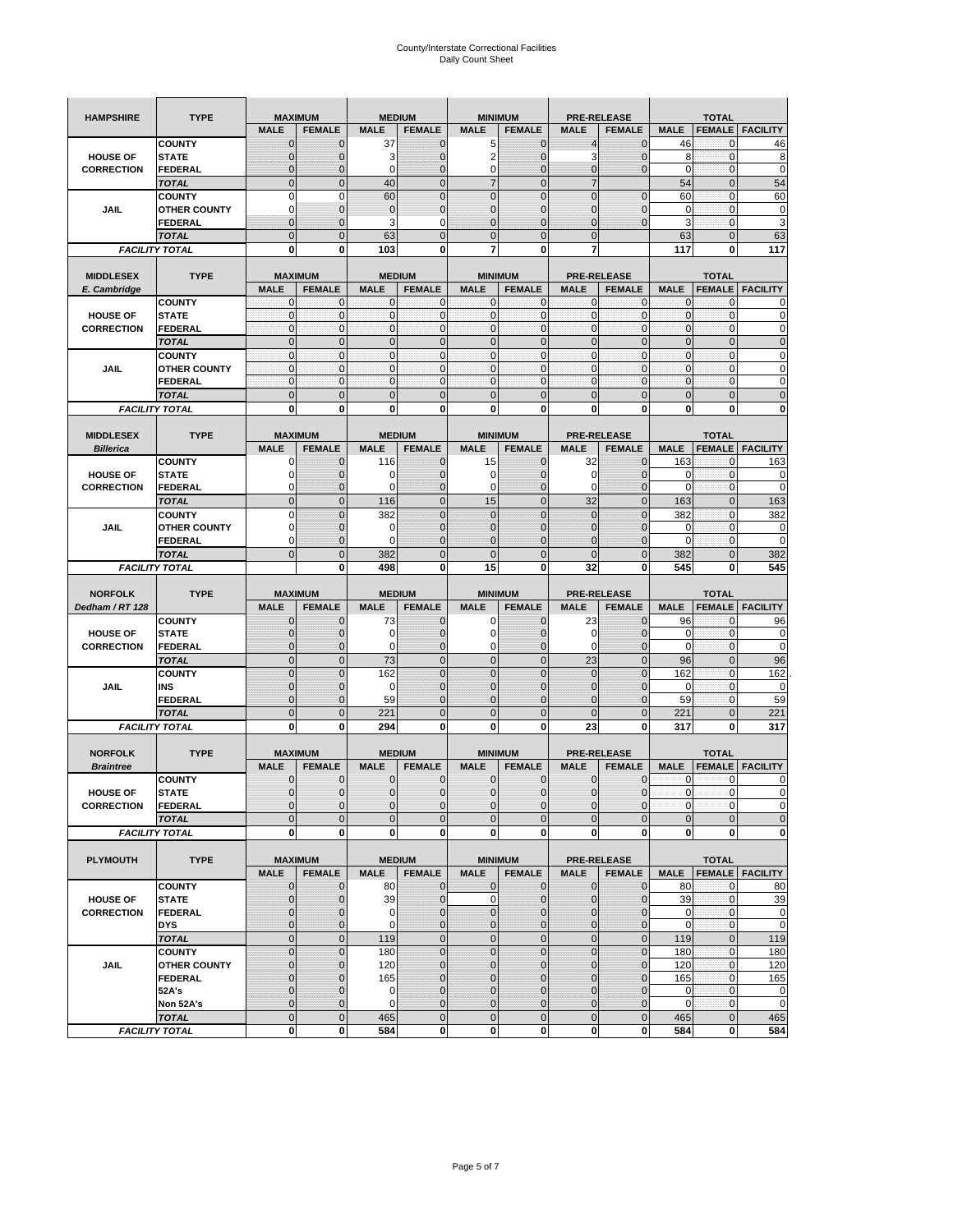| <b>HAMPSHIRE</b>  | <b>TYPE</b>                           |                  | <b>MAXIMUM</b>   |                | <b>MEDIUM</b>    |                            | <b>MINIMUM</b>               |                  | <b>PRE-RELEASE</b>     |                | <b>TOTAL</b>            |                                                                                                         |
|-------------------|---------------------------------------|------------------|------------------|----------------|------------------|----------------------------|------------------------------|------------------|------------------------|----------------|-------------------------|---------------------------------------------------------------------------------------------------------|
|                   |                                       | <b>MALE</b>      | <b>FEMALE</b>    | <b>MALE</b>    | <b>FEMALE</b>    | <b>MALE</b>                | <b>FEMALE</b>                | <b>MALE</b>      | <b>FEMALE</b>          | <b>MALE</b>    | <b>FEMALE</b>           | <b>FACILITY</b>                                                                                         |
|                   | <b>COUNTY</b>                         | $\mathbf 0$      | $\mathbf 0$      | 37             | $\mathbf 0$      | 5                          | $\mathbf 0$                  | $\overline{4}$   | 0                      | 46             | $\mathbf{0}$            | 46                                                                                                      |
| <b>HOUSE OF</b>   | <b>STATE</b>                          | $\mathbf{0}$     | $\overline{0}$   | 3              | $\overline{0}$   | $\overline{2}$             | $\overline{0}$               | 3                | $\overline{0}$         | 8              | $\mathbf 0$             | 8                                                                                                       |
| <b>CORRECTION</b> | <b>FEDERAL</b>                        | $\mathbf{0}$     | 0                | 0              | $\overline{0}$   | $\pmb{0}$                  | $\overline{0}$               | 0                | $\mathbf 0$            | $\mathbf 0$    | $\bf{0}$                | $\mathbf 0$                                                                                             |
|                   | <b>TOTAL</b>                          | $\mathbf{0}$     | $\overline{0}$   | 40             | $\mathbf{0}$     | $\overline{7}$             | $\mathbf{0}$                 | $\overline{7}$   |                        | 54             | $\mathbf{0}$            | 54                                                                                                      |
|                   | <b>COUNTY</b>                         | $\mathbf 0$      | $\mathbf 0$      | 60             | $\overline{0}$   | $\overline{0}$             | $\overline{0}$               | $\overline{0}$   | $\overline{0}$         | 60             | $\mathbf{0}$            | 60                                                                                                      |
| JAIL              | <b>OTHER COUNTY</b>                   | $\Omega$         | 0                | $\mathbf{0}$   | $\pmb{0}$        | $\mathbf 0$                | $\overline{0}$               | 0                | $\mathbf 0$            | 0              | $\mathbf 0$             | 0                                                                                                       |
|                   | <b>FEDERAL</b>                        | $\mathbf{0}$     | $\overline{0}$   | 3              | 0                | $\overline{0}$             | $\mathbf{0}$                 | $\overline{0}$   | $\overline{0}$         | 3              | $\mathbf{0}$            | 3                                                                                                       |
|                   | <b>TOTAL</b>                          | $\mathbf{0}$     | $\mathbf 0$      | 63             | $\mathbf 0$      | $\mathbf 0$                | $\mathbf 0$                  | $\mathbf{0}$     |                        | 63             | $\mathbf 0$             | 63                                                                                                      |
|                   | <b>FACILITY TOTAL</b>                 | 0                | 0                | 103            | 0                | 7                          | 0                            | 7                |                        | 117            | 0                       | 117                                                                                                     |
|                   |                                       |                  |                  |                |                  |                            |                              |                  |                        |                |                         |                                                                                                         |
| <b>MIDDLESEX</b>  | <b>TYPE</b>                           |                  | <b>MAXIMUM</b>   |                | <b>MEDIUM</b>    |                            | <b>MINIMUM</b>               |                  | <b>PRE-RELEASE</b>     |                | <b>TOTAL</b>            |                                                                                                         |
| E. Cambridge      |                                       | <b>MALE</b>      | <b>FEMALE</b>    | <b>MALE</b>    | <b>FEMALE</b>    | <b>MALE</b>                | <b>FEMALE</b>                | <b>MALE</b>      | <b>FEMALE</b>          | <b>MALE</b>    | <b>FEMALE</b>           | <b>FACILITY</b>                                                                                         |
|                   | <b>COUNTY</b>                         | 0                | 0                | $\mathbf 0$    | 0                | 0                          | $\mathbf{0}$                 | 0                | 0                      | 0              | 0                       | 0                                                                                                       |
| <b>HOUSE OF</b>   | <b>STATE</b>                          | $\pmb{0}$        | 0                | $\mathbf{0}$   | $\mathbf 0$      | $\mathbf 0$                | $\mathbf 0$                  | $\mathbf 0$      | $\mathbf 0$            | $\pmb{0}$      | $\bf{0}$                | 0                                                                                                       |
| <b>CORRECTION</b> | <b>FEDERAL</b>                        | $\mathbf{0}$     | $\mathbf 0$      | $\mathbf 0$    | $\mathbf 0$      | $\mathbf 0$                | $\mathbf{0}$                 | $\mathbf 0$      | $\mathbf 0$            | $\mathbf{0}$   | $\mathbf 0$             | 0                                                                                                       |
|                   | <b>TOTAL</b>                          | $\Omega$         | $\mathbf 0$      | $\mathbf{0}$   | $\mathbf 0$      | $\mathbf 0$                | $\mathbf 0$                  | $\mathbf{0}$     | $\overline{0}$         | $\pmb{0}$      | $\mathbf 0$             | $\overline{0}$                                                                                          |
|                   | <b>COUNTY</b>                         | $\mathbf{0}$     | $\mathbf{0}$     | $\mathbf{0}$   | $\mathbf 0$      | $\mathbf{0}$               | $\mathbf{0}$                 | $\mathbf{0}$     | $\mathbf 0$            | $\mathbf{0}$   | $\mathbf{0}$            | 0                                                                                                       |
| <b>JAIL</b>       | <b>OTHER COUNTY</b>                   | 0                | $\mathbf 0$      | $\mathbf 0$    | 0                | $\mathbf{0}$               | $\overline{0}$               | $\mathbf{0}$     | 0                      | $\pmb{0}$      | 0                       | 0                                                                                                       |
|                   | <b>FEDERAL</b>                        | $\mathbf{0}$     | $\mathbf{0}$     | $\mathbf 0$    | $\mathbf 0$      | $\mathbf{0}$               | $\mathbf 0$                  | $\mathbf{0}$     | $\mathbf 0$            | $\mathbf{0}$   | $\mathbf{0}$            | 0                                                                                                       |
|                   | <b>TOTAL</b>                          | $\mathbf 0$      | $\overline{0}$   | $\overline{0}$ | $\overline{0}$   | $\overline{0}$             | $\overline{0}$               | $\overline{0}$   | $\overline{0}$         | $\mathbf{0}$   | $\overline{0}$          | $\mathbf 0$                                                                                             |
|                   | <b>FACILITY TOTAL</b>                 | 0                | 0                | 0              | 0                | 0                          | 0                            | 0                | 0                      | 0              | 0                       | O                                                                                                       |
|                   |                                       |                  |                  |                |                  |                            |                              |                  |                        |                |                         |                                                                                                         |
| <b>MIDDLESEX</b>  | <b>TYPE</b>                           |                  | <b>MAXIMUM</b>   |                | <b>MEDIUM</b>    |                            | <b>MINIMUM</b>               |                  | <b>PRE-RELEASE</b>     |                | <b>TOTAL</b>            |                                                                                                         |
| <b>Billerica</b>  |                                       | <b>MALE</b>      | <b>FEMALE</b>    | <b>MALE</b>    | <b>FEMALE</b>    | <b>MALE</b>                | <b>FEMALE</b>                | <b>MALE</b>      | <b>FEMALE</b>          | <b>MALE</b>    | <b>FEMALE</b>           | <b>FACILITY</b>                                                                                         |
|                   | <b>COUNTY</b>                         | 0                | $\mathbf 0$      | 116            | 0                | 15                         | $\mathbf{0}$                 | 32               | $\mathbf 0$            | 163            | 0                       | 163                                                                                                     |
| <b>HOUSE OF</b>   | <b>STATE</b>                          | 0                | $\mathbf 0$      | 0              | $\mathbf{0}$     | 0                          | 0                            | 0                | $\mathbf 0$            | 0              | $\mathbf 0$             | 0                                                                                                       |
| <b>CORRECTION</b> | <b>FEDERAL</b>                        | 0                | $\mathbf{0}$     | 0              | 0                | 0                          | $\mathbf{0}$                 | 0                | $\mathbf 0$            | 0              | 0                       | 0                                                                                                       |
|                   | <b>TOTAL</b>                          | $\mathbf{0}$     | $\mathbf 0$      | 116            | $\mathbf 0$      | 15                         | $\overline{0}$               | 32               | $\overline{0}$         | 163            | $\mathbf{0}$            | 163                                                                                                     |
|                   | <b>COUNTY</b>                         | $\Omega$         | $\overline{0}$   | 382            | $\Omega$         | $\overline{0}$             | $\Omega$                     | $\mathbf 0$      | $\Omega$               | 382            | $\mathbf 0$             | 382                                                                                                     |
| JAIL              | <b>OTHER COUNTY</b>                   | 0                | $\mathbf 0$      | $\mathbf 0$    | $\mathbf{0}$     | $\mathbf{0}$               | $\mathbf{0}$                 | $\mathbf{0}$     | $\overline{0}$         | 0              | 0                       | 0                                                                                                       |
|                   | <b>FEDERAL</b>                        | $\Omega$         | $\mathbf 0$      | $\Omega$       | $\mathbf 0$      | $\mathbf 0$                | $\Omega$                     | 0                | $\mathbf 0$            | $\Omega$       | $\mathbf 0$             | $\mathbf 0$                                                                                             |
|                   | <b>TOTAL</b>                          | $\mathbf 0$      | $\overline{0}$   | 382            | $\overline{0}$   | $\overline{0}$             | $\overline{0}$               | $\overline{0}$   | $\overline{0}$         | 382            | $\overline{0}$          | 382                                                                                                     |
|                   | <b>FACILITY TOTAL</b>                 |                  | 0                | 498            | 0                | 15                         | $\mathbf{0}$                 | 32               | 0                      | 545            | 0                       | 545                                                                                                     |
|                   |                                       |                  |                  |                |                  |                            |                              |                  |                        |                |                         |                                                                                                         |
|                   |                                       |                  |                  |                |                  |                            |                              |                  |                        |                |                         |                                                                                                         |
| <b>NORFOLK</b>    | <b>TYPE</b>                           |                  | <b>MAXIMUM</b>   |                | <b>MEDIUM</b>    |                            | <b>MINIMUM</b>               |                  | <b>PRE-RELEASE</b>     |                | <b>TOTAL</b>            |                                                                                                         |
| Dedham / RT 128   |                                       | <b>MALE</b>      | <b>FEMALE</b>    | <b>MALE</b>    | <b>FEMALE</b>    | <b>MALE</b>                | <b>FEMALE</b>                | <b>MALE</b>      | <b>FEMALE</b>          | <b>MALE</b>    | <b>FEMALE</b>           | <b>FACILITY</b>                                                                                         |
|                   | <b>COUNTY</b>                         | 0                | $\mathbf 0$      | 73             | 0                | 0                          | 0                            | 23               | 0                      | 96             | 0                       | 96                                                                                                      |
| <b>HOUSE OF</b>   | <b>STATE</b>                          | $\mathbf{0}$     | $\mathbf 0$      | $\Omega$       | $\mathbf{0}$     | $\mathbf 0$                | $\mathbf{0}$                 | 0                | $\mathbf 0$            | 0              | $\mathbf 0$             | 0                                                                                                       |
| <b>CORRECTION</b> | FEDERAL                               | $\mathbf{0}$     | 0                | 0              | 0                | 0                          | $\overline{0}$               | 0                | 0                      | $\mathbf 0$    | $\mathbf 0$             | 0                                                                                                       |
|                   | <b>TOTAL</b>                          | $\pmb{0}$        | $\mathbf 0$      | 73             | $\mathbf 0$      | $\mathbf 0$                | $\overline{0}$               | 23               | $\mathbf 0$            | 96             | $\mathbf 0$             | 96                                                                                                      |
|                   | <b>COUNTY</b>                         | $\Omega$         | $\overline{0}$   | 162            | $\overline{0}$   | $\overline{0}$             | $\Omega$                     | $\mathbf 0$      | $\overline{0}$         | 162            | 0                       | 162                                                                                                     |
| JAIL              | INS                                   | $\mathbf{0}$     | 0                | $\mathbf 0$    | $\mathbf{0}$     | $\mathbf{0}$               | $\mathbf{0}$                 | 0                | $\mathbf 0$            | 0              | 0                       | 0                                                                                                       |
|                   | <b>FEDERAL</b>                        | $\Omega$         | $\overline{0}$   | 59             | $\mathbf 0$      | $\overline{0}$             | $\Omega$                     | $\mathbf 0$      | $\mathbf 0$            | 59             | $\mathbf 0$             | 59                                                                                                      |
|                   | <b>TOTAL</b>                          | $\mathbf 0$      | $\overline{0}$   | 221            | $\overline{0}$   | $\overline{0}$             | $\overline{0}$               | $\Omega$         | $\overline{0}$         | 221            | $\mathbf{0}$            | 221                                                                                                     |
|                   | <b>FACILITY TOTAL</b>                 | 0                | 0                | 294            | 0                | 0                          | 0                            | 23               | 0                      | 317            | 0                       | 317                                                                                                     |
|                   |                                       |                  |                  |                |                  |                            |                              |                  |                        |                |                         |                                                                                                         |
| <b>NORFOLK</b>    | <b>TYPE</b>                           |                  | <b>MAXIMUM</b>   |                | <b>MEDIUM</b>    |                            | <b>MINIMUM</b>               |                  | <b>PRE-RELEASE</b>     |                | <b>TOTAL</b>            |                                                                                                         |
| <b>Braintree</b>  |                                       | <b>MALE</b>      | <b>FEMALE</b>    | <b>MALE</b>    | <b>FEMALE</b>    | <b>MALE</b>                | <b>FEMALE</b>                | <b>MALE</b>      | <b>FEMALE</b>          | <b>MALE</b>    | <b>FEMALE</b>           | <b>FACILITY</b>                                                                                         |
|                   | <b>COUNTY</b>                         | $\mathbf{0}$     | $\mathbf{0}$     | $\mathbf{0}$   | 0                | 0                          | $\overline{0}$               | 0                | $\overline{0}$         | $\mathbf 0$    | 0                       | 0                                                                                                       |
| <b>HOUSE OF</b>   | <b>STATE</b>                          | $\Omega$         | $\Omega$         | $\Omega$       | $\Omega$         | $\Omega$                   | $\Omega$                     | $\mathbf{0}$     | $\Omega$               | $\Omega$       | $\Omega$                | $\Omega$                                                                                                |
| <b>CORRECTION</b> | FEDERAL                               | $\mathbf 0$      | $\mathbf{0}$     | $\mathbf 0$    | $\mathbf{0}$     | $\mathbf 0$                | $\mathbf 0$                  | $\mathbf 0$      | 0                      | $\overline{0}$ | $\mathbf 0$             |                                                                                                         |
|                   | <b>TOTAL</b>                          | $\mathbf 0$      | $\mathbf 0$      | $\mathbf{0}$   | $\mathbf 0$      | $\mathbf{0}$               | $\mathbf 0$                  | $\mathbf 0$      | $\mathbf 0$            | $\mathbf 0$    | $\pmb{0}$               |                                                                                                         |
|                   | <b>FACILITY TOTAL</b>                 | $\mathbf 0$      | 0                | 0              | 0                | $\bf{0}$                   | <sub>0</sub>                 | 0                | 0                      | $\mathbf{0}$   | $\mathbf 0$             | 0                                                                                                       |
|                   |                                       |                  |                  |                |                  |                            |                              |                  |                        |                |                         | $\mathbf 0$<br>$\mathbf 0$                                                                              |
| <b>PLYMOUTH</b>   | <b>TYPE</b>                           |                  | <b>MAXIMUM</b>   |                | <b>MEDIUM</b>    |                            | <b>MINIMUM</b>               |                  | <b>PRE-RELEASE</b>     |                | <b>TOTAL</b>            |                                                                                                         |
|                   |                                       | <b>MALE</b>      | <b>FEMALE</b>    | <b>MALE</b>    | <b>FEMALE</b>    | <b>MALE</b>                | <b>FEMALE</b>                | <b>MALE</b>      | <b>FEMALE</b>          | <b>MALE</b>    |                         | <b>FEMALE</b> FACILITY                                                                                  |
|                   | <b>COUNTY</b>                         | $\mathbf{0}$     | 0                | 80             | $\mathbf{0}$     | 0                          | $\mathbf{O}$                 | $\mathbf 0$      | 0                      | 80             | $\mathbf 0$             |                                                                                                         |
| <b>HOUSE OF</b>   | <b>STATE</b>                          | $\mathbf{0}$     | $\mathbf 0$      | 39             | $\mathbf 0$      | $\mathbf 0$                | $\mathbf{0}$                 | $\mathbf{0}$     | $\overline{0}$         | 39             | $\pmb{0}$               |                                                                                                         |
| <b>CORRECTION</b> | <b>FEDERAL</b>                        | $\mathbf 0$      | $\mathbf{0}$     | 0              | $\mathbf 0$      | $\mathbf 0$                | $\mathbf{0}$                 | 0                | $\mathbf 0$            | $\mathbf 0$    | $\mathbf 0$             |                                                                                                         |
|                   | <b>DYS</b>                            | $\mathbf{0}$     | $\mathbf{0}$     | 0              | $\mathbf{0}$     | $\mathbf 0$                | $\mathbf{0}$                 | $\mathbf 0$      | $\overline{0}$         | $\mathbf 0$    | $\mathbf{O}$            |                                                                                                         |
|                   | <b>TOTAL</b>                          | $\mathbf 0$      | $\mathbf 0$      | 119            | $\mathbf 0$      | $\mathbf 0$                | $\mathbf 0$                  | $\mathbf 0$      | $\pmb{0}$              | 119            | $\mathbf{0}$            |                                                                                                         |
|                   | <b>COUNTY</b>                         | $\mathbf 0$      | $\mathbf 0$      | 180            | $\mathbf{0}$     | $\mathbf 0$                | $\overline{0}$               | $\mathbf 0$      | $\mathbf 0$            | 180            | $\mathbf 0$             | 180                                                                                                     |
| <b>JAIL</b>       | <b>OTHER COUNTY</b>                   | $\mathbf{0}$     | $\mathbf{0}$     | 120            | $\mathbf 0$      | $\mathbf 0$                | $\mathbf{0}$                 | 0                | $\overline{0}$         | 120            | $\mathbf 0$             |                                                                                                         |
|                   | <b>FEDERAL</b>                        | $\mathbf{0}$     | $\mathbf{0}$     | 165            | 0                | $\mathbf 0$                | $\overline{0}$               | 0                | $\overline{0}$         | 165            | $\mathbf 0$             |                                                                                                         |
|                   | 52A's                                 | $\mathbf{0}$     | $\mathbf{0}$     | 0              | $\mathbf{0}$     | $\mathbf{0}$               | $\overline{0}$               | 0                | $\overline{0}$         | $\mathbf 0$    | $\mathbf{O}$            |                                                                                                         |
|                   | Non 52A's                             | $\mathbf{0}$     | $\mathbf{0}$     | $\mathbf 0$    | $\mathbf{0}$     | $\mathbf 0$                | $\mathbf{0}$                 | $\mathbf 0$      | 0                      | $\mathbf 0$    | $\mathbf 0$             |                                                                                                         |
|                   | <b>TOTAL</b><br><b>FACILITY TOTAL</b> | $\mathbf 0$<br>0 | $\mathbf 0$<br>0 | 465<br>584     | $\mathbf 0$<br>0 | $\mathbf 0$<br>$\mathbf 0$ | $\mathbf{0}$<br>$\mathbf{0}$ | $\mathbf 0$<br>0 | $\pmb{0}$<br>$\pmb{0}$ | 465<br>584     | $\mathbf 0$<br>$\bf{0}$ | 80<br>39<br>$\mathbf 0$<br>$\mathbf 0$<br>119<br>120<br>165<br>$\mathbf 0$<br>$\mathbf 0$<br>465<br>584 |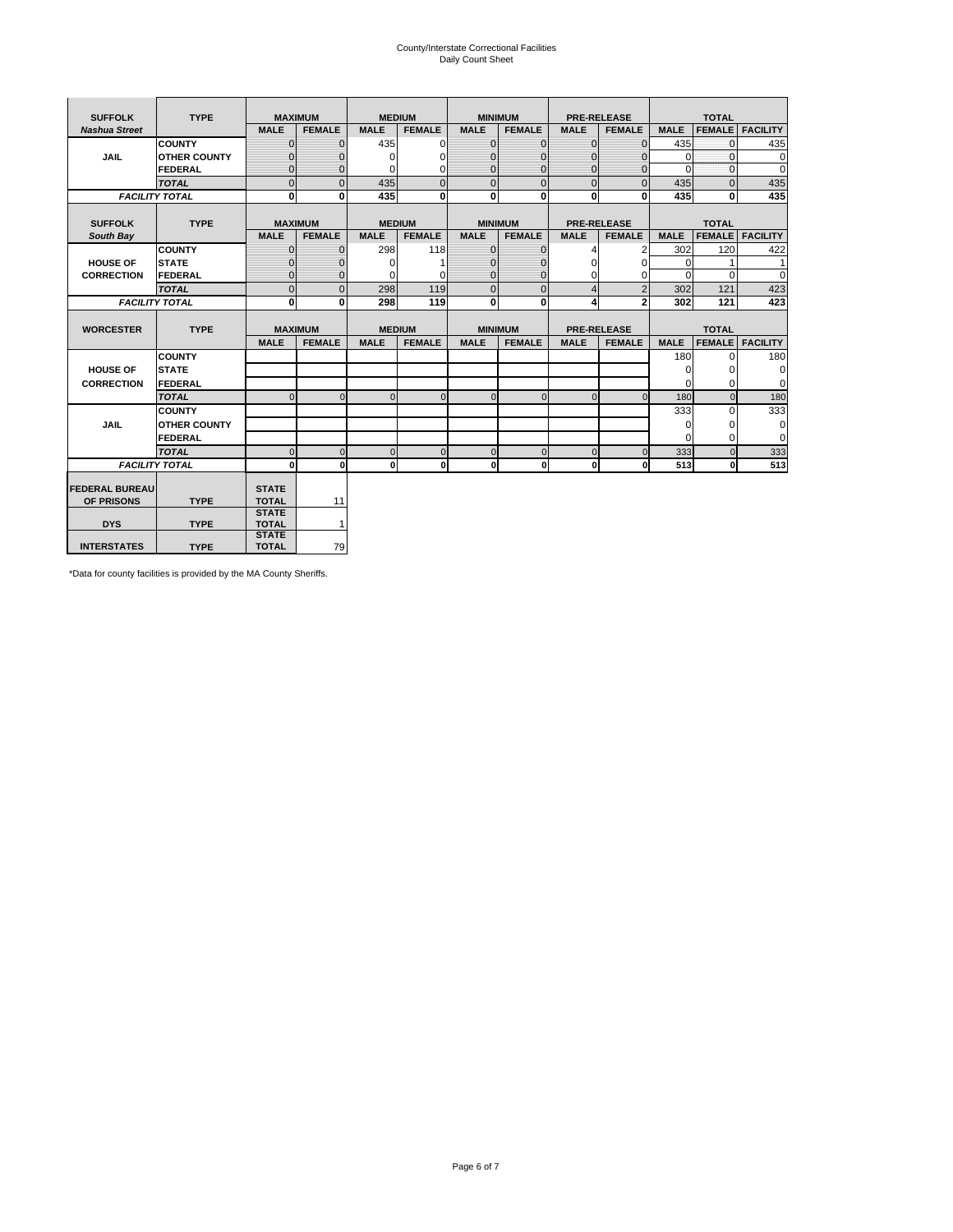# County/Interstate Correctional Facilities Daily Count Sheet

| <b>SUFFOLK</b>        | <b>TYPE</b>           |                              | <b>MAXIMUM</b> | <b>MEDIUM</b> |                |                | <b>MINIMUM</b> |                | <b>PRE-RELEASE</b> |             | <b>TOTAL</b>  |                 |
|-----------------------|-----------------------|------------------------------|----------------|---------------|----------------|----------------|----------------|----------------|--------------------|-------------|---------------|-----------------|
| <b>Nashua Street</b>  |                       | <b>MALE</b>                  | <b>FEMALE</b>  | <b>MALE</b>   | <b>FEMALE</b>  | <b>MALE</b>    | <b>FEMALE</b>  | <b>MALE</b>    | <b>FEMALE</b>      | <b>MALE</b> | <b>FEMALE</b> | <b>FACILITY</b> |
|                       | <b>COUNTY</b>         | $\Omega$                     | $\mathbf{0}$   | 435           | $\Omega$       | $\mathbf{0}$   | $\Omega$       | $\Omega$       | $\Omega$           | 435         | $\Omega$      | 435             |
| <b>JAIL</b>           | <b>OTHER COUNTY</b>   | $\Omega$                     | 0              | $\Omega$      | 0              | $\mathbf{0}$   | $\Omega$       | $\mathbf 0$    | $\Omega$           | $\Omega$    | $\Omega$      | $\mathbf 0$     |
|                       | <b>FEDERAL</b>        | $\Omega$                     | $\Omega$       | 0             | $\Omega$       | $\mathbf{0}$   | $\Omega$       | $\Omega$       | $\Omega$           | $\Omega$    | $\Omega$      | $\Omega$        |
|                       | <b>TOTAL</b>          | $\Omega$                     | $\mathbf 0$    | 435           | $\overline{0}$ | $\overline{0}$ | $\mathbf{0}$   | $\mathbf{0}$   | $\Omega$           | 435         | $\Omega$      | 435             |
|                       | <b>FACILITY TOTAL</b> | 0                            | 0              | 435           | $\bf{0}$       | <sub>0</sub>   | 0              | $\mathbf{0}$   | 0                  | 435         | 0             | 435             |
|                       |                       |                              |                |               |                |                |                |                |                    |             |               |                 |
| <b>SUFFOLK</b>        | <b>TYPE</b>           | <b>MAXIMUM</b>               |                | <b>MEDIUM</b> |                |                | <b>MINIMUM</b> |                | <b>PRE-RELEASE</b> |             | <b>TOTAL</b>  |                 |
| South Bay             |                       | <b>MALE</b>                  | <b>FEMALE</b>  | <b>MALE</b>   | <b>FEMALE</b>  | <b>MALE</b>    | <b>FEMALE</b>  | <b>MALE</b>    | <b>FEMALE</b>      | <b>MALE</b> | <b>FEMALE</b> | <b>FACILITY</b> |
|                       | <b>COUNTY</b>         | $\Omega$                     | $\mathbf{0}$   | 298           | 118            | $\mathbf{0}$   | $\mathbf{0}$   | 4              | 2                  | 302         | 120           | 422             |
| <b>HOUSE OF</b>       | <b>STATE</b>          |                              | $\mathbf{0}$   | $\Omega$      |                | $\Omega$       | 0              | $\Omega$       | $\Omega$           | $\Omega$    |               | 1               |
| <b>CORRECTION</b>     | <b>FEDERAL</b>        | $\Omega$                     | $\mathbf{0}$   | $\Omega$      | $\Omega$       | $\mathbf{0}$   | $\mathbf{0}$   | $\Omega$       | 0                  | $\Omega$    | $\Omega$      | $\Omega$        |
|                       | <b>TOTAL</b>          | $\Omega$                     | $\overline{0}$ | 298           | 119            | $\mathbf 0$    | $\mathbf{0}$   | $\overline{4}$ | $\overline{2}$     | 302         | 121           | 423             |
|                       | <b>FACILITY TOTAL</b> | 0                            | 0              | 298           | 119            | <sub>0</sub>   | 0              | 4              | $\overline{2}$     | 302         | 121           | 423             |
|                       |                       |                              |                |               |                |                |                |                |                    |             |               |                 |
| <b>WORCESTER</b>      | <b>TYPE</b>           | <b>MAXIMUM</b>               |                | <b>MEDIUM</b> |                |                | <b>MINIMUM</b> |                | <b>PRE-RELEASE</b> |             | <b>TOTAL</b>  |                 |
|                       |                       | <b>MALE</b>                  | <b>FEMALE</b>  | <b>MALE</b>   | <b>FEMALE</b>  | <b>MALE</b>    | <b>FEMALE</b>  | <b>MALE</b>    | <b>FEMALE</b>      | <b>MALE</b> | <b>FEMALE</b> | <b>FACILITY</b> |
|                       | <b>COUNTY</b>         |                              |                |               |                |                |                |                |                    | 180         | $\Omega$      | 180             |
| <b>HOUSE OF</b>       | <b>STATE</b>          |                              |                |               |                |                |                |                |                    | 0           | 0             | 0               |
| <b>CORRECTION</b>     | <b>FEDERAL</b>        |                              |                |               |                |                |                |                |                    | $\Omega$    | $\Omega$      | $\Omega$        |
|                       | <b>TOTAL</b>          | U                            | $\Omega$       | $\Omega$      | $\mathbf 0$    | $\Omega$       | $\Omega$       | $\Omega$       | $\Omega$           | 180         | $\Omega$      | 180             |
|                       | <b>COUNTY</b>         |                              |                |               |                |                |                |                |                    | 333         | $\Omega$      | 333             |
| <b>JAIL</b>           | <b>OTHER COUNTY</b>   |                              |                |               |                |                |                |                |                    | 0           | 0             | 0               |
|                       | FEDERAL               |                              |                |               |                |                |                |                |                    | $\Omega$    | $\Omega$      | $\Omega$        |
|                       | <b>TOTAL</b>          | $\cap$                       | $\Omega$       | $\Omega$      | $\mathbf{0}$   | $\mathbf 0$    | $\mathbf 0$    | $\overline{0}$ | $\Omega$           | 333         | $\Omega$      | 333             |
|                       | <b>FACILITY TOTAL</b> | $\Omega$                     | $\mathbf 0$    | $\Omega$      | 0              | 0              | $\mathbf{0}$   | $\mathbf{0}$   | 0                  | 513         | O             | 513             |
|                       |                       |                              |                |               |                |                |                |                |                    |             |               |                 |
| <b>FEDERAL BUREAU</b> |                       | <b>STATE</b>                 |                |               |                |                |                |                |                    |             |               |                 |
| OF PRISONS            | <b>TYPE</b>           | <b>TOTAL</b>                 | 11             |               |                |                |                |                |                    |             |               |                 |
| <b>DYS</b>            | <b>TYPE</b>           | <b>STATE</b><br><b>TOTAL</b> | $\mathbf{1}$   |               |                |                |                |                |                    |             |               |                 |
|                       |                       | <b>STATE</b>                 |                |               |                |                |                |                |                    |             |               |                 |
| <b>INTERSTATES</b>    | <b>TYPE</b>           | <b>TOTAL</b>                 | 79             |               |                |                |                |                |                    |             |               |                 |

\*Data for county facilities is provided by the MA County Sheriffs.